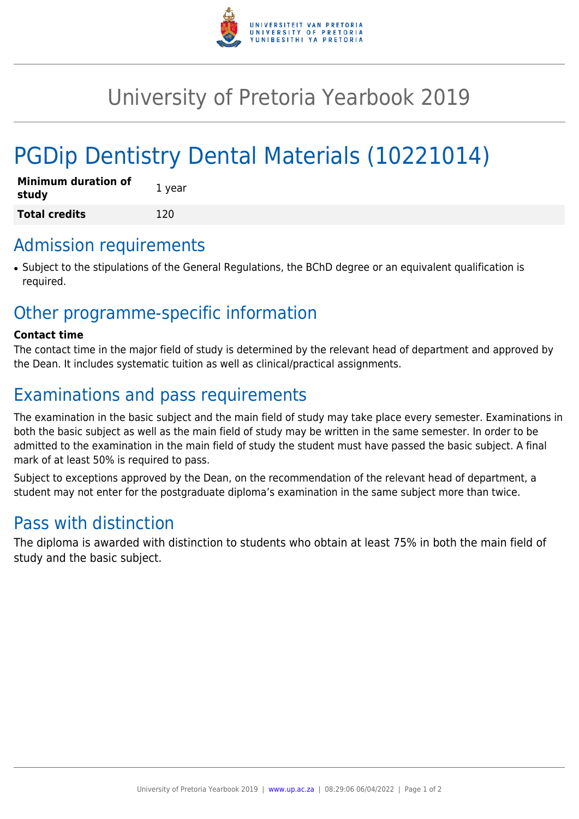

# University of Pretoria Yearbook 2019

# PGDip Dentistry Dental Materials (10221014)

| <b>Minimum duration of</b><br>study | 1 year |
|-------------------------------------|--------|
| <b>Total credits</b>                | 120    |

#### Admission requirements

• Subject to the stipulations of the General Regulations, the BChD degree or an equivalent qualification is required.

### Other programme-specific information

#### **Contact time**

The contact time in the major field of study is determined by the relevant head of department and approved by the Dean. It includes systematic tuition as well as clinical/practical assignments.

## Examinations and pass requirements

The examination in the basic subject and the main field of study may take place every semester. Examinations in both the basic subject as well as the main field of study may be written in the same semester. In order to be admitted to the examination in the main field of study the student must have passed the basic subject. A final mark of at least 50% is required to pass.

Subject to exceptions approved by the Dean, on the recommendation of the relevant head of department, a student may not enter for the postgraduate diploma's examination in the same subject more than twice.

### Pass with distinction

The diploma is awarded with distinction to students who obtain at least 75% in both the main field of study and the basic subject.